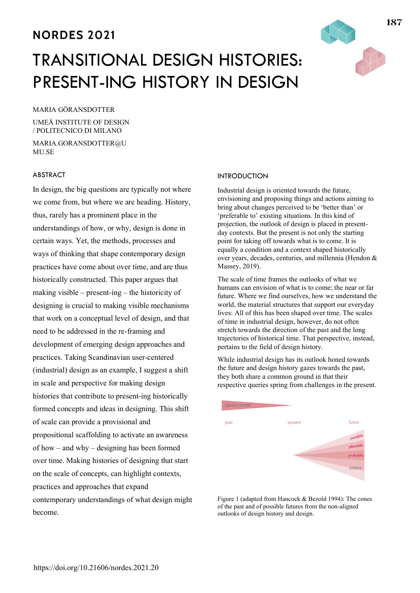# **NORDES 2021**

# TRANSITIONAL DESIGN HISTORIES: PRESENT-ING HISTORY IN DESIGN

### MARIA GÖRANSDOTTER

UMEÅ INSTITUTE OF DESIGN / POLITECNICO DI MILANO

MARIA.GORANSDOTTER@U MU.SE

# ABSTRACT

In design, the big questions are typically not where we come from, but where we are heading. History, thus, rarely has a prominent place in the understandings of how, or why, design is done in certain ways. Yet, the methods, processes and ways of thinking that shape contemporary design practices have come about over time, and are thus historically constructed. This paper argues that making visible – present-ing – the historicity of designing is crucial to making visible mechanisms that work on a conceptual level of design, and that need to be addressed in the re-framing and development of emerging design approaches and practices. Taking Scandinavian user-centered (industrial) design as an example, I suggest a shift in scale and perspective for making design histories that contribute to present-ing historically formed concepts and ideas in designing. This shift of scale can provide a provisional and propositional scaffolding to activate an awareness of how – and why – designing has been formed over time. Making histories of designing that start on the scale of concepts, can highlight contexts, practices and approaches that expand contemporary understandings of what design might become.

#### **INTRODUCTION**

Industrial design is oriented towards the future, envisioning and proposing things and actions aiming to bring about changes perceived to be 'better than' or 'preferable to' existing situations. In this kind of projection, the outlook of design is placed in presentday contexts. But the present is not only the starting point for taking off towards what is to come. It is equally a condition and a context shaped historically over years, decades, centuries, and millennia (Hendon & Massey, 2019).

The scale of time frames the outlooks of what we humans can envision of what is to come; the near or far future. Where we find ourselves, how we understand the world, the material structures that support our everyday lives: All of this has been shaped over time. The scales of time in industrial design, however, do not often stretch towards the direction of the past and the long trajectories of historical time. That perspective, instead, pertains to the field of design history.

While industrial design has its outlook honed towards the future and design history gazes towards the past, they both share a common ground in that their respective queries spring from challenges in the present.



Figure 1 (adapted from Hancock & Bezold 1994): The cones of the past and of possible futures from the non-aligned outlooks of design history and design.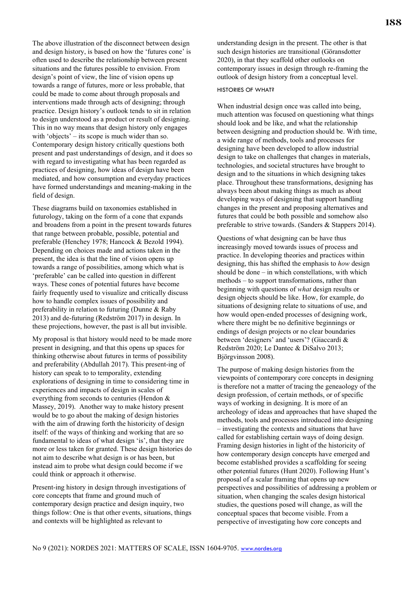The above illustration of the disconnect between design and design history, is based on how the 'futures cone' is often used to describe the relationship between present situations and the futures possible to envision. From design's point of view, the line of vision opens up towards a range of futures, more or less probable, that could be made to come about through proposals and interventions made through acts of designing; through practice. Design history's outlook tends to sit in relation to design understood as a product or result of designing. This in no way means that design history only engages with 'objects' – its scope is much wider than so. Contemporary design history critically questions both present and past understandings of design, and it does so with regard to investigating what has been regarded as practices of designing, how ideas of design have been mediated, and how consumption and everyday practices have formed understandings and meaning-making in the field of design.

These diagrams build on taxonomies established in futurology, taking on the form of a cone that expands and broadens from a point in the present towards futures that range between probable, possible, potential and preferable (Henchey 1978; Hancock & Bezold 1994). Depending on choices made and actions taken in the present, the idea is that the line of vision opens up towards a range of possibilities, among which what is 'preferable' can be called into question in different ways. These cones of potential futures have become fairly frequently used to visualize and critically discuss how to handle complex issues of possibility and preferability in relation to futuring (Dunne & Raby 2013) and de-futuring (Redström 2017) in design. In these projections, however, the past is all but invisible.

My proposal is that history would need to be made more present in designing, and that this opens up spaces for thinking otherwise about futures in terms of possibility and preferability (Abdullah 2017). This present-ing of history can speak to to temporality, extending explorations of designing in time to considering time in experiences and impacts of design in scales of everything from seconds to centuries (Hendon & Massey, 2019). Another way to make history present would be to go about the making of design histories with the aim of drawing forth the historicity of design itself: of the ways of thinking and working that are so fundamental to ideas of what design 'is', that they are more or less taken for granted. These design histories do not aim to describe what design is or has been, but instead aim to probe what design could become if we could think or approach it otherwise.

Present-ing history in design through investigations of core concepts that frame and ground much of contemporary design practice and design inquiry, two things follow: One is that other events, situations, things and contexts will be highlighted as relevant to

understanding design in the present. The other is that such design histories are transitional (Göransdotter 2020), in that they scaffold other outlooks on contemporary issues in design through re-framing the outlook of design history from a conceptual level.

#### HISTORIES OF WHAT?

When industrial design once was called into being, much attention was focused on questioning what things should look and be like, and what the relationship between designing and production should be. With time, a wide range of methods, tools and processes for designing have been developed to allow industrial design to take on challenges that changes in materials, technologies, and societal structures have brought to design and to the situations in which designing takes place. Throughout these transformations, designing has always been about making things as much as about developing ways of designing that support handling changes in the present and proposing alternatives and futures that could be both possible and somehow also preferable to strive towards. (Sanders & Stappers 2014).

Questions of what designing can be have thus increasingly moved towards issues of process and practice. In developing theories and practices within designing, this has shifted the emphasis to *how* design should be done – in which constellations, with which methods – to support transformations, rather than beginning with questions of *what* design results or design objects should be like. How, for example, do situations of designing relate to situations of use, and how would open-ended processes of designing work, where there might be no definitive beginnings or endings of design projects or no clear boundaries between 'designers' and 'users'? (Giaccardi & Redström 2020; Le Dantec & DiSalvo 2013; Björgvinsson 2008).

The purpose of making design histories from the viewpoints of contemporary core concepts in designing is therefore not a matter of tracing the geneaology of the design profession, of certain methods, or of specific ways of working in designing. It is more of an archeology of ideas and approaches that have shaped the methods, tools and processes introduced into designing – investigating the contexts and situations that have called for establishing certain ways of doing design. Framing design histories in light of the historicity of how contemporary design concepts have emerged and become established provides a scaffolding for seeing other potential futures (Hunt 2020). Following Hunt's proposal of a scalar framing that opens up new perspectives and possibilities of addressing a problem or situation, when changing the scales design historical studies, the questions posed will change, as will the conceptual spaces that become visible. From a perspective of investigating how core concepts and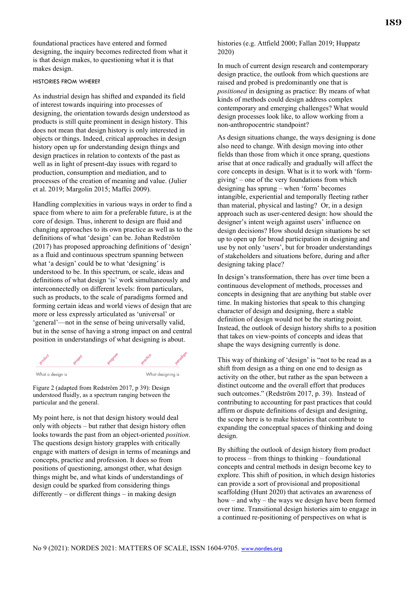foundational practices have entered and formed designing, the inquiry becomes redirected from what it is that design makes, to questioning what it is that makes design.

#### HISTORIES FROM WHERE?

As industrial design has shifted and expanded its field of interest towards inquiring into processes of designing, the orientation towards design understood as products is still quite prominent in design history. This does not mean that design history is only interested in objects or things. Indeed, critical approaches in design history open up for understanding design things and design practices in relation to contexts of the past as well as in light of present-day issues with regard to production, consumption and mediation, and to processes of the creation of meaning and value. (Julier et al. 2019; Margolin 2015; Maffei 2009).

Handling complexities in various ways in order to find a space from where to aim for a preferable future, is at the core of design. Thus, inherent to design are fluid and changing approaches to its own practice as well as to the definitions of what 'design' can be. Johan Redström (2017) has proposed approaching definitions of 'design' as a fluid and continuous spectrum spanning between what 'a design' could be to what 'designing' is understood to be. In this spectrum, or scale, ideas and definitions of what design 'is' work simultaneously and interconnectedly on different levels: from particulars, such as products, to the scale of paradigms formed and forming certain ideas and world views of design that are more or less expressly articulated as 'universal' or 'general'—not in the sense of being universally valid, but in the sense of having a strong impact on and central position in understandings of what designing is about.



What a desian is

Figure 2 (adapted from Redström 2017, p 39): Design understood fluidly, as a spectrum ranging between the particular and the general.

My point here, is not that design history would deal only with objects – but rather that design history often looks towards the past from an object-oriented *position*. The questions design history grapples with critically engage with matters of design in terms of meanings and concepts, practice and profession. It does so from positions of questioning, amongst other, what design things might be, and what kinds of understandings of design could be sparked from considering things differently – or different things – in making design

# histories (e.g. Attfield 2000; Fallan 2019; Huppatz 2020)

In much of current design research and contemporary design practice, the outlook from which questions are raised and probed is predominantly one that is *positioned* in designing as practice: By means of what kinds of methods could design address complex contemporary and emerging challenges? What would design processes look like, to allow working from a non-anthropocentric standpoint?

As design situations change, the ways designing is done also need to change. With design moving into other fields than those from which it once sprang, questions arise that at once radically and gradually will affect the core concepts in design. What is it to work with 'formgiving' – one of the very foundations from which designing has sprung – when 'form' becomes intangible, experiential and temporally fleeting rather than material, physical and lasting? Or, in a design approach such as user-centered design: how should the designer's intent weigh against users' influence on design decisions? How should design situations be set up to open up for broad participation in designing and use by not only 'users', but for broader understandings of stakeholders and situations before, during and after designing taking place?

In design's transformation, there has over time been a continuous development of methods, processes and concepts in designing that are anything but stable over time. In making histories that speak to this changing character of design and designing, there a stable definition of design would not be the starting point. Instead, the outlook of design history shifts to a position that takes on view-points of concepts and ideas that shape the ways designing currently is done.

This way of thinking of 'design' is "not to be read as a shift from design as a thing on one end to design as activity on the other, but rather as the span between a distinct outcome and the overall effort that produces such outcomes." (Redström 2017, p. 39). Instead of contributing to accounting for past practices that could affirm or dispute definitions of design and designing, the scope here is to make histories that contribute to expanding the conceptual spaces of thinking and doing design.

By shifting the outlook of design history from product to process – from things to thinking – foundational concepts and central methods in design become key to explore. This shift of position, in which design histories can provide a sort of provisional and propositional scaffolding (Hunt 2020) that activates an awareness of how – and why – the ways we design have been formed over time. Transitional design histories aim to engage in a continued re-positioning of perspectives on what is

What desianina is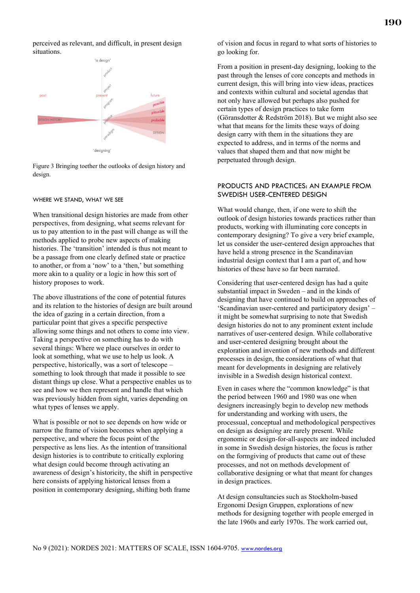perceived as relevant, and difficult, in present design situations.



Figure 3 Bringing toether the outlooks of design history and design.

#### WHERE WE STAND, WHAT WE SEE

When transitional design histories are made from other perspectives, from designing, what seems relevant for us to pay attention to in the past will change as will the methods applied to probe new aspects of making histories. The 'transition' intended is thus not meant to be a passage from one clearly defined state or practice to another, or from a 'now' to a 'then,' but something more akin to a quality or a logic in how this sort of history proposes to work.

The above illustrations of the cone of potential futures and its relation to the histories of design are built around the idea of gazing in a certain direction, from a particular point that gives a specific perspective allowing some things and not others to come into view. Taking a perspective on something has to do with several things: Where we place ourselves in order to look at something, what we use to help us look. A perspective, historically, was a sort of telescope – something to look through that made it possible to see distant things up close. What a perspective enables us to see and how we then represent and handle that which was previously hidden from sight, varies depending on what types of lenses we apply.

What is possible or not to see depends on how wide or narrow the frame of vision becomes when applying a perspective, and where the focus point of the perspective as lens lies. As the intention of transitional design histories is to contribute to critically exploring what design could become through activating an awareness of design's historicity, the shift in perspective here consists of applying historical lenses from a position in contemporary designing, shifting both frame

of vision and focus in regard to what sorts of histories to go looking for.

From a position in present-day designing, looking to the past through the lenses of core concepts and methods in current design, this will bring into view ideas, practices and contexts within cultural and societal agendas that not only have allowed but perhaps also pushed for certain types of design practices to take form (Göransdotter & Redström 2018). But we might also see what that means for the limits these ways of doing design carry with them in the situations they are expected to address, and in terms of the norms and values that shaped them and that now might be perpetuated through design.

# PRODUCTS AND PRACTICES: AN EXAMPLE FROM SWEDISH USER-CENTERED DESIGN

What would change, then, if one were to shift the outlook of design histories towards practices rather than products, working with illuminating core concepts in contemporary designing? To give a very brief example, let us consider the user-centered design approaches that have held a strong presence in the Scandinavian industrial design context that I am a part of, and how histories of these have so far been narrated.

Considering that user-centered design has had a quite substantial impact in Sweden – and in the kinds of designing that have continued to build on approaches of 'Scandinavian user-centered and participatory design' – it might be somewhat surprising to note that Swedish design histories do not to any prominent extent include narratives of user-centered design. While collaborative and user-centered designing brought about the exploration and invention of new methods and different processes in design, the considerations of what that meant for developments in designing are relatively invisible in a Swedish design historical context.

Even in cases where the "common knowledge" is that the period between 1960 and 1980 was one when designers increasingly begin to develop new methods for understanding and working with users, the processual, conceptual and methodological perspectives on design as design*ing* are rarely present. While ergonomic or design-for-all-aspects are indeed included in some in Swedish design histories, the focus is rather on the formgiving of products that came out of these processes, and not on methods development of collaborative designing or what that meant for changes in design practices.

At design consultancies such as Stockholm-based Ergonomi Design Gruppen, explorations of new methods for designing together with people emerged in the late 1960s and early 1970s. The work carried out,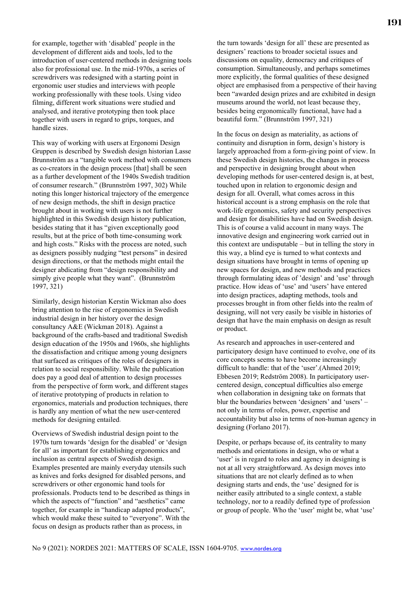for example, together with 'disabled' people in the development of different aids and tools, led to the introduction of user-centered methods in designing tools also for professional use. In the mid-1970s, a series of screwdrivers was redesigned with a starting point in ergonomic user studies and interviews with people working professionally with these tools. Using video filming, different work situations were studied and analysed, and iterative prototyping then took place together with users in regard to grips, torques, and handle sizes.

This way of working with users at Ergonomi Design Gruppen is described by Swedish design historian Lasse Brunnström as a "tangible work method with consumers as co-creators in the design process [that] shall be seen as a further development of the 1940s Swedish tradition of consumer research." (Brunnström 1997, 302) While noting this longer historical trajectory of the emergence of new design methods, the shift in design practice brought about in working with users is not further highlighted in this Swedish design history publication, besides stating that it has "given exceptionally good results, but at the price of both time-consuming work and high costs." Risks with the process are noted, such as designers possibly nudging "test persons" in desired design directions, or that the methods might entail the designer abdicating from "design responsibility and simply give people what they want". (Brunnström 1997, 321)

Similarly, design historian Kerstin Wickman also does bring attention to the rise of ergonomics in Swedish industrial design in her history over the design consultancy A&E (Wickman 2018). Against a background of the crafts-based and traditional Swedish design education of the 1950s and 1960s, she highlights the dissatisfaction and critique among young designers that surfaced as critiques of the roles of designers in relation to social responsibility. While the publication does pay a good deal of attention to design processes from the perspective of form work, and different stages of iterative prototyping of products in relation to ergonomics, materials and production techniques, there is hardly any mention of what the new user-centered methods for designing entailed.

Overviews of Swedish industrial design point to the 1970s turn towards 'design for the disabled' or 'design for all' as important for establishing ergonomics and inclusion as central aspects of Swedish design. Examples presented are mainly everyday utensils such as knives and forks designed for disabled persons, and screwdrivers or other ergonomic hand tools for professionals. Products tend to be described as things in which the aspects of "function" and "aesthetics" came together, for example in "handicap adapted products", which would make these suited to "everyone". With the focus on design as products rather than as process, in

the turn towards 'design for all' these are presented as designers' reactions to broader societal issues and discussions on equality, democracy and critiques of consumption. Simultaneously, and perhaps sometimes more explicitly, the formal qualities of these designed object are emphasised from a perspective of their having been "awarded design prizes and are exhibited in design museums around the world, not least because they, besides being ergonomically functional, have had a beautiful form." (Brunnström 1997, 321)

In the focus on design as materiality, as actions of continuity and disruption in form, design's history is largely approached from a form-giving point of view. In these Swedish design histories, the changes in process and perspective in designing brought about when developing methods for user-centered design is, at best, touched upon in relation to ergonomic design and design for all. Overall, what comes across in this historical account is a strong emphasis on the role that work-life ergonomics, safety and security perspectives and design for disabilities have had on Swedish design. This is of course a valid account in many ways. The innovative design and engineering work carried out in this context are undisputable – but in telling the story in this way, a blind eye is turned to what contexts and design situations have brought in terms of opening up new spaces for design, and new methods and practices through formulating ideas of 'design' and 'use' through practice. How ideas of 'use' and 'users' have entered into design practices, adapting methods, tools and processes brought in from other fields into the realm of designing, will not very easily be visible in histories of design that have the main emphasis on design as result or product.

As research and approaches in user-centered and participatory design have continued to evolve, one of its core concepts seems to have become increasingly difficult to handle: that of the 'user'.(Ahmed 2019; Ebbesen 2019; Redström 2008). In participatory usercentered design, conceptual difficulties also emerge when collaboration in designing take on formats that blur the boundaries between 'designers' and 'users' – not only in terms of roles, power, expertise and accountability but also in terms of non-human agency in designing (Forlano 2017).

Despite, or perhaps because of, its centrality to many methods and orientations in design, who or what a 'user' is in regard to roles and agency in designing is not at all very straightforward. As design moves into situations that are not clearly defined as to when designing starts and ends, the 'use' designed for is neither easily attributed to a single context, a stable technology, nor to a readily defined type of profession or group of people. Who the 'user' might be, what 'use'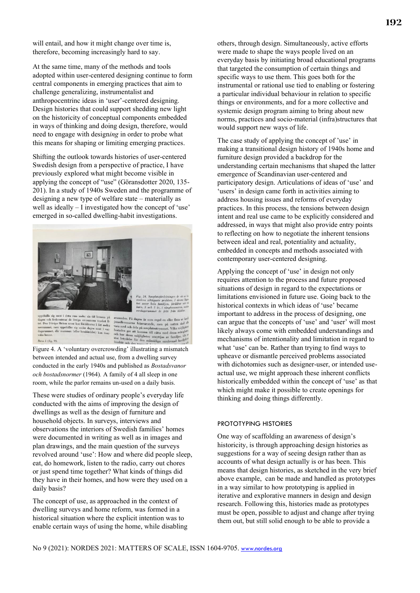will entail, and how it might change over time is, therefore, becoming increasingly hard to say.

At the same time, many of the methods and tools adopted within user-centered designing continue to form central components in emerging practices that aim to challenge generalizing, instrumentalist and anthropocentrinc ideas in 'user'-centered designing. Design histories that could support shedding new light on the historicity of conceptual components embedded in ways of thinking and doing design, therefore, would need to engage with design*ing* in order to probe what this means for shaping or limiting emerging practices.

Shifting the outlook towards histories of user-centered Swedish design from a perspective of practice, I have previously explored what might become visible in applying the concept of "use" (Göransdotter 2020, 135- 201). In a study of 1940s Sweden and the programme of designing a new type of welfare state – materially as well as ideally – I investigated how the concept of 'use' emerged in so-called dwelling-habit investigations.



uppehalla sig mest i detta rum under sin tid hemma på dagen och frekventerar de övriga utrymnena mycket ligter dett ben 2-åriga flickan sover hos föräldarna i det andra dagen mest i vardagarummet, men uppehaller sig under Barn 5 (fig. 9)

nden. På dagen är som reg avseenden. På dagen är som regel en eller jemellemmarna frånvarande, men på nat vara med och dela på sovplatsutymmet. Vil och hur dessa möjligheter utnytt at som betal som starte som betal som betal som betal som betal som

Figure 4. A 'voluntary overcrowding' illustrating a mismatch between intended and actual use, from a dwelling survey conducted in the early 1940s and published as *Bostadsvanor och bostadsnormer* (1964)*.* A family of 4 all sleep in one room, while the parlor remains un-used on a daily basis.

These were studies of ordinary people's everyday life conducted with the aims of improving the design of dwellings as well as the design of furniture and household objects. In surveys, interviews and observations the interiors of Swedish families' homes were documented in writing as well as in images and plan drawings, and the main question of the surveys revolved around 'use': How and where did people sleep, eat, do homework, listen to the radio, carry out chores or just spend time together? What kinds of things did they have in their homes, and how were they used on a daily basis?

The concept of use, as approached in the context of dwelling surveys and home reform, was formed in a historical situation where the explicit intention was to enable certain ways of using the home, while disabling others, through design. Simultaneously, active efforts were made to shape the ways people lived on an everyday basis by initiating broad educational programs that targeted the consumption of certain things and specific ways to use them. This goes both for the instrumental or rational use tied to enabling or fostering a particular individual behaviour in relation to specific things or environments, and for a more collective and systemic design program aiming to bring about new norms, practices and socio-material (infra)structures that would support new ways of life.

The case study of applying the concept of 'use' in making a transitional design history of 1940s home and furniture design provided a backdrop for the understanding certain mechanisms that shaped the latter emergence of Scandinavian user-centered and participatory design. Articulations of ideas of 'use' and 'users' in design came forth in activities aiming to address housing issues and reforms of everyday practices. In this process, the tensions between design intent and real use came to be explicitly considered and addressed, in ways that might also provide entry points to reflecting on how to negotiate the inherent tensions between ideal and real, potentiality and actuality, embedded in concepts and methods associated with contemporary user-centered designing.

Applying the concept of 'use' in design not only requires attention to the process and future proposed situations of design in regard to the expectations or limitations envisioned in future use. Going back to the historical contexts in which ideas of 'use' became important to address in the process of designing, one can argue that the concepts of 'use' and 'user' will most likely always come with embedded understandings and mechanisms of intentionality and limitation in regard to what 'use' can be. Rather than trying to find ways to upheave or dismantle perceived problems associated with dichotomies such as designer-user, or intended useactual use, we might approach these inherent conflicts historically embedded within the concept of 'use' as that which might make it possible to create openings for thinking and doing things differently.

# PROTOTYPING HISTORIES

One way of scaffolding an awareness of design's historicity, is through approaching design histories as suggestions for a way of seeing design rather than as accounts of what design actually is or has been. This means that design histories, as sketched in the very brief above example, can be made and handled as prototypes in a way similar to how prototyping is applied in iterative and explorative manners in design and design research. Following this, histories made as prototypes must be open, possible to adjust and change after trying them out, but still solid enough to be able to provide a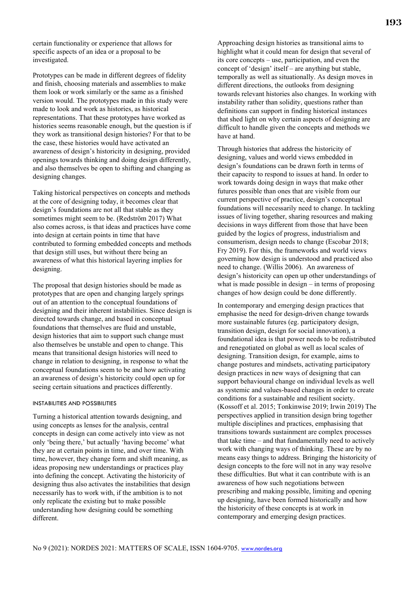certain functionality or experience that allows for specific aspects of an idea or a proposal to be investigated.

Prototypes can be made in different degrees of fidelity and finish, choosing materials and assemblies to make them look or work similarly or the same as a finished version would. The prototypes made in this study were made to look and work as histories, as historical representations. That these prototypes have worked as histories seems reasonable enough, but the question is if they work as transitional design histories? For that to be the case, these histories would have activated an awareness of design's historicity in designing, provided openings towards thinking and doing design differently, and also themselves be open to shifting and changing as designing changes.

Taking historical perspectives on concepts and methods at the core of designing today, it becomes clear that design's foundations are not all that stable as they sometimes might seem to be. (Redström 2017) What also comes across, is that ideas and practices have come into design at certain points in time that have contributed to forming embedded concepts and methods that design still uses, but without there being an awareness of what this historical layering implies for designing.

The proposal that design histories should be made as prototypes that are open and changing largely springs out of an attention to the conceptual foundations of designing and their inherent instabilities. Since design is directed towards change, and based in conceptual foundations that themselves are fluid and unstable, design histories that aim to support such change must also themselves be unstable and open to change. This means that transitional design histories will need to change in relation to designing, in response to what the conceptual foundations seem to be and how activating an awareness of design's historicity could open up for seeing certain situations and practices differently.

#### INSTABILITIES AND POSSIBILITIES

Turning a historical attention towards designing, and using concepts as lenses for the analysis, central concepts in design can come actively into view as not only 'being there,' but actually 'having become' what they are at certain points in time, and over time. With time, however, they change form and shift meaning, as ideas proposing new understandings or practices play into defining the concept. Activating the historicity of designing thus also activates the instabilities that design necessarily has to work with, if the ambition is to not only replicate the existing but to make possible understanding how designing could be something different.

Approaching design histories as transitional aims to highlight what it could mean for design that several of its core concepts – use, participation, and even the concept of 'design' itself – are anything but stable, temporally as well as situationally. As design moves in different directions, the outlooks from designing towards relevant histories also changes. In working with instability rather than solidity, questions rather than definitions can support in finding historical instances that shed light on why certain aspects of designing are difficult to handle given the concepts and methods we have at hand.

Through histories that address the historicity of designing, values and world views embedded in design's foundations can be drawn forth in terms of their capacity to respond to issues at hand. In order to work towards doing design in ways that make other futures possible than ones that are visible from our current perspective of practice, design's conceptual foundations will necessarily need to change. In tackling issues of living together, sharing resources and making decisions in ways different from those that have been guided by the logics of progress, industrialism and consumerism, design needs to change (Escobar 2018; Fry 2019). For this, the frameworks and world views governing how design is understood and practiced also need to change. (Willis 2006). An awareness of design's historicity can open up other understandings of what is made possible in design – in terms of proposing changes of how design could be done differently.

In contemporary and emerging design practices that emphasise the need for design-driven change towards more sustainable futures (eg. participatory design, transition design, design for social innovation), a foundational idea is that power needs to be redistributed and renegotiated on global as well as local scales of designing. Transition design, for example, aims to change postures and mindsets, activating participatory design practices in new ways of designing that can support behavioural change on individual levels as well as systemic and values-based changes in order to create conditions for a sustainable and resilient society. (Kossoff et al. 2015; Tonkinwise 2019; Irwin 2019) The perspectives applied in transition design bring together multiple disciplines and practices, emphasising that transitions towards sustainment are complex processes that take time – and that fundamentally need to actively work with changing ways of thinking. These are by no means easy things to address. Bringing the historicity of design concepts to the fore will not in any way resolve these difficulties. But what it can contribute with is an awareness of how such negotiations between prescribing and making possible, limiting and opening up designing, have been formed historically and how the historicity of these concepts is at work in contemporary and emerging design practices.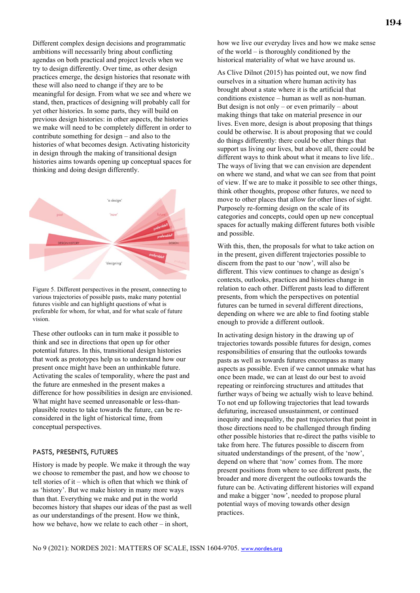Different complex design decisions and programmatic ambitions will necessarily bring about conflicting agendas on both practical and project levels when we try to design differently. Over time, as other design practices emerge, the design histories that resonate with these will also need to change if they are to be meaningful for design. From what we see and where we stand, then, practices of designing will probably call for yet other histories. In some parts, they will build on previous design histories: in other aspects, the histories we make will need to be completely different in order to contribute something for design – and also to the histories of what becomes design. Activating historicity in design through the making of transitional design histories aims towards opening up conceptual spaces for thinking and doing design differently.



Figure 5. Different perspectives in the present, connecting to various trajectories of possible pasts, make many potential futures visible and can highlight questions of what is preferable for whom, for what, and for what scale of future vision.

These other outlooks can in turn make it possible to think and see in directions that open up for other potential futures. In this, transitional design histories that work as prototypes help us to understand how our present once might have been an unthinkable future. Activating the scales of temporality, where the past and the future are enmeshed in the present makes a difference for how possibilities in design are envisioned. What might have seemed unreasonable or less-thanplausible routes to take towards the future, can be reconsidered in the light of historical time, from conceptual perspectives.

#### PASTS, PRESENTS, FUTURES

History is made by people. We make it through the way we choose to remember the past, and how we choose to tell stories of it – which is often that which we think of as 'history'. But we make history in many more ways than that. Everything we make and put in the world becomes history that shapes our ideas of the past as well as our understandings of the present. How we think, how we behave, how we relate to each other – in short,

how we live our everyday lives and how we make sense of the world – is thoroughly conditioned by the historical materiality of what we have around us.

As Clive Dilnot (2015) has pointed out, we now find ourselves in a situation where human activity has brought about a state where it is the artificial that conditions existence – human as well as non-human. But design is not only – or even primarily – about making things that take on material presence in our lives. Even more, design is about proposing that things could be otherwise. It is about proposing that we could do things differently: there could be other things that support us living our lives, but above all, there could be different ways to think about what it means to live life.. The ways of living that we can envision are dependent on where we stand, and what we can see from that point of view. If we are to make it possible to see other things, think other thoughts, propose other futures, we need to move to other places that allow for other lines of sight. Purposely re-forming design on the scale of its categories and concepts, could open up new conceptual spaces for actually making different futures both visible and possible.

With this, then, the proposals for what to take action on in the present, given different trajectories possible to discern from the past to our 'now', will also be different. This view continues to change as design's contexts, outlooks, practices and histories change in relation to each other. Different pasts lead to different presents, from which the perspectives on potential futures can be turned in several different directions, depending on where we are able to find footing stable enough to provide a different outlook.

In activating design history in the drawing up of trajectories towards possible futures for design, comes responsibilities of ensuring that the outlooks towards pasts as well as towards futures encompass as many aspects as possible. Even if we cannot unmake what has once been made, we can at least do our best to avoid repeating or reinforcing structures and attitudes that further ways of being we actually wish to leave behind. To not end up following trajectories that lead towards defuturing, increased unsustainment, or continued inequity and inequality, the past trajectories that point in those directions need to be challenged through finding other possible histories that re-direct the paths visible to take from here. The futures possible to discern from situated understandings of the present, of the 'now', depend on where that 'now' comes from. The more present positions from where to see different pasts, the broader and more divergent the outlooks towards the future can be. Activating different histories will expand and make a bigger 'now', needed to propose plural potential ways of moving towards other design practices.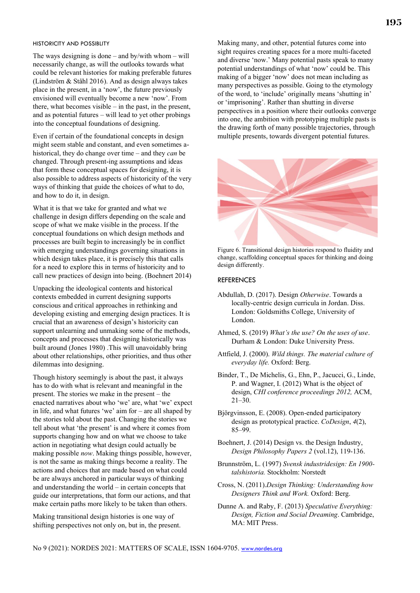#### HISTORICITY AND POSSIBLITY

The ways designing is done – and by/with whom – will necessarily change, as will the outlooks towards what could be relevant histories for making preferable futures (Lindström & Ståhl 2016). And as design always takes place in the present, in a 'now', the future previously envisioned will eventually become a new 'now'. From there, what becomes visible  $-$  in the past, in the present, and as potential futures – will lead to yet other probings into the conceptual foundations of designing.

Even if certain of the foundational concepts in design might seem stable and constant, and even sometimes ahistorical, they do change over time – and they *can* be changed. Through present-ing assumptions and ideas that form these conceptual spaces for designing, it is also possible to address aspects of historicity of the very ways of thinking that guide the choices of what to do, and how to do it, in design.

What it is that we take for granted and what we challenge in design differs depending on the scale and scope of what we make visible in the process. If the conceptual foundations on which design methods and processes are built begin to increasingly be in conflict with emerging understandings governing situations in which design takes place, it is precisely this that calls for a need to explore this in terms of historicity and to call new practices of design into being. (Boehnert 2014)

Unpacking the ideological contents and historical contexts embedded in current designing supports conscious and critical approaches in rethinking and developing existing and emerging design practices. It is crucial that an awareness of design's historicity can support unlearning and unmaking some of the methods, concepts and processes that designing historically was built around (Jones 1980) .This will unavoidably bring about other relationships, other priorities, and thus other dilemmas into designing.

Though history seemingly is about the past, it always has to do with what is relevant and meaningful in the present. The stories we make in the present – the enacted narratives about who 'we' are, what 'we' expect in life, and what futures 'we' aim for – are all shaped by the stories told about the past. Changing the stories we tell about what 'the present' is and where it comes from supports changing how and on what we choose to take action in negotiating what design could actually be making possible *now*. Making things possible, however, is not the same as making things become a reality. The actions and choices that are made based on what could be are always anchored in particular ways of thinking and understanding the world – in certain concepts that guide our interpretations, that form our actions, and that make certain paths more likely to be taken than others.

Making transitional design histories is one way of shifting perspectives not only on, but in, the present. Making many, and other, potential futures come into sight requires creating spaces for a more multi-faceted and diverse 'now.' Many potential pasts speak to many potential understandings of what 'now' could be. This making of a bigger 'now' does not mean including as many perspectives as possible. Going to the etymology of the word, to 'include' originally means 'shutting in' or 'imprisoning'. Rather than shutting in diverse perspectives in a position where their outlooks converge into one, the ambition with prototyping multiple pasts is the drawing forth of many possible trajectories, through multiple presents, towards divergent potential futures.



Figure 6. Transitional design histories respond to fluidity and change, scaffolding conceptual spaces for thinking and doing design differently.

#### REFERENCES

- Abdullah, D. (2017). Design *Otherwise*. Towards a locally-centric design curricula in Jordan. Diss. London: Goldsmiths College, University of London.
- Ahmed, S. (2019) *What's the use? On the uses of use*. Durham & London: Duke University Press.
- Attfield, J. (2000). *Wild things. The material culture of everyday life.* Oxford: Berg.

Binder, T., De Michelis, G., Ehn, P., Jacucci, G., Linde, P. and Wagner, I. (2012) What is the object of design, *CHI conference proceedings 2012,* ACM, 21–30.

Björgvinsson, E. (2008). Open-ended participatory design as prototypical practice. *CoDesign*, *4*(2), 85–99.

Boehnert, J. (2014) Design vs. the Design Industry, *Design Philosophy Papers 2* (vol.12), 119-136.

- Brunnström, L. (1997) *Svensk industridesign: En 1900 talshistoria.* Stockholm: Norstedt
- Cross, N. (2011).*Design Thinking: Understanding how Designers Think and Work.* Oxford: Berg.
- Dunne A. and Raby, F. (2013) *Speculative Everything: Design, Fiction and Social Dreaming*. Cambridge, MA: MIT Press.